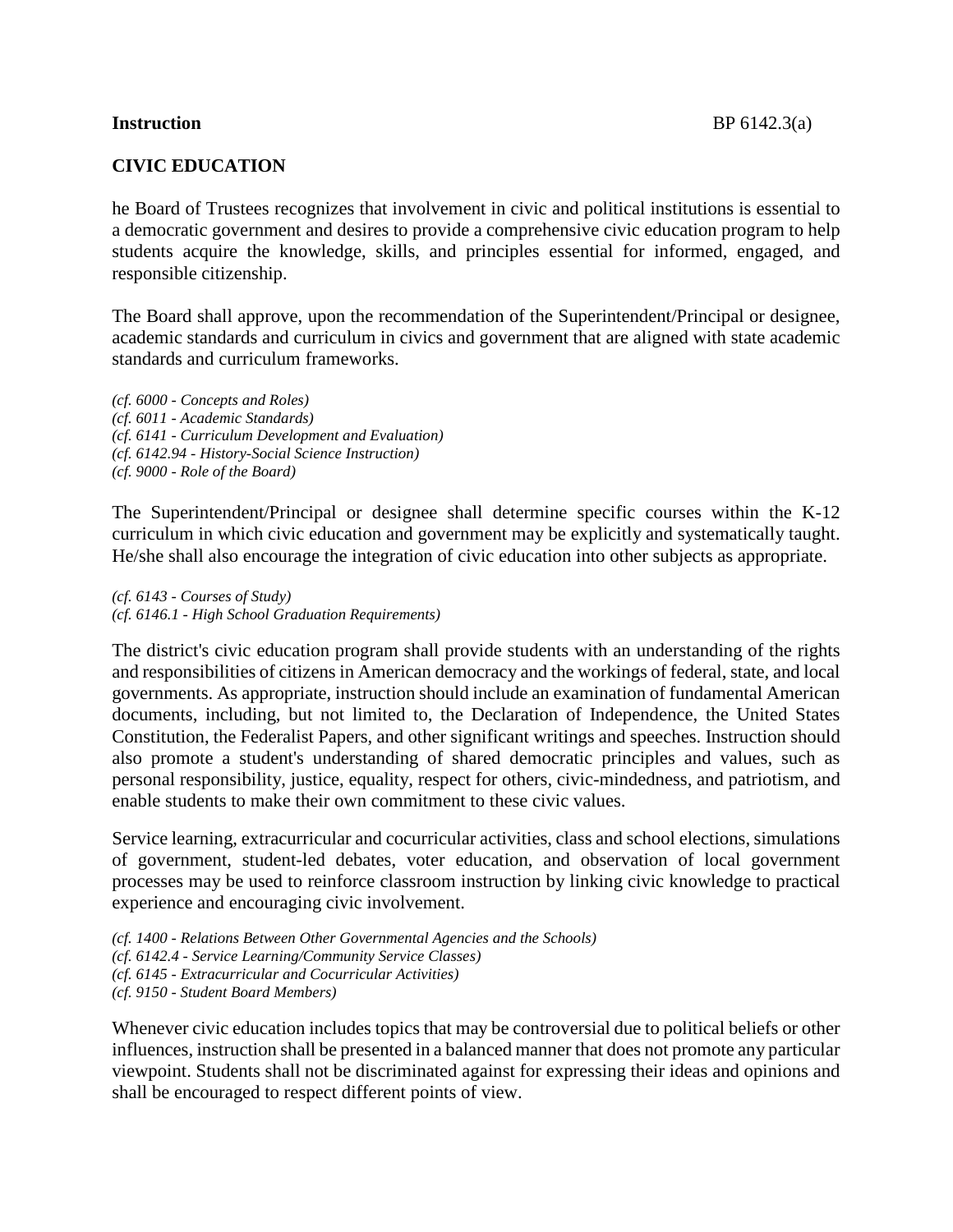## **CIVIC EDUCATION**

he Board of Trustees recognizes that involvement in civic and political institutions is essential to a democratic government and desires to provide a comprehensive civic education program to help students acquire the knowledge, skills, and principles essential for informed, engaged, and responsible citizenship.

The Board shall approve, upon the recommendation of the Superintendent/Principal or designee, academic standards and curriculum in civics and government that are aligned with state academic standards and curriculum frameworks.

*(cf. 6000 - Concepts and Roles) (cf. 6011 - Academic Standards) (cf. 6141 - Curriculum Development and Evaluation) (cf. 6142.94 - History-Social Science Instruction) (cf. 9000 - Role of the Board)*

The Superintendent/Principal or designee shall determine specific courses within the K-12 curriculum in which civic education and government may be explicitly and systematically taught. He/she shall also encourage the integration of civic education into other subjects as appropriate.

*(cf. 6143 - Courses of Study) (cf. 6146.1 - High School Graduation Requirements)*

The district's civic education program shall provide students with an understanding of the rights and responsibilities of citizens in American democracy and the workings of federal, state, and local governments. As appropriate, instruction should include an examination of fundamental American documents, including, but not limited to, the Declaration of Independence, the United States Constitution, the Federalist Papers, and other significant writings and speeches. Instruction should also promote a student's understanding of shared democratic principles and values, such as personal responsibility, justice, equality, respect for others, civic-mindedness, and patriotism, and enable students to make their own commitment to these civic values.

Service learning, extracurricular and cocurricular activities, class and school elections, simulations of government, student-led debates, voter education, and observation of local government processes may be used to reinforce classroom instruction by linking civic knowledge to practical experience and encouraging civic involvement.

*(cf. 1400 - Relations Between Other Governmental Agencies and the Schools) (cf. 6142.4 - Service Learning/Community Service Classes) (cf. 6145 - Extracurricular and Cocurricular Activities) (cf. 9150 - Student Board Members)*

Whenever civic education includes topics that may be controversial due to political beliefs or other influences, instruction shall be presented in a balanced manner that does not promote any particular viewpoint. Students shall not be discriminated against for expressing their ideas and opinions and shall be encouraged to respect different points of view.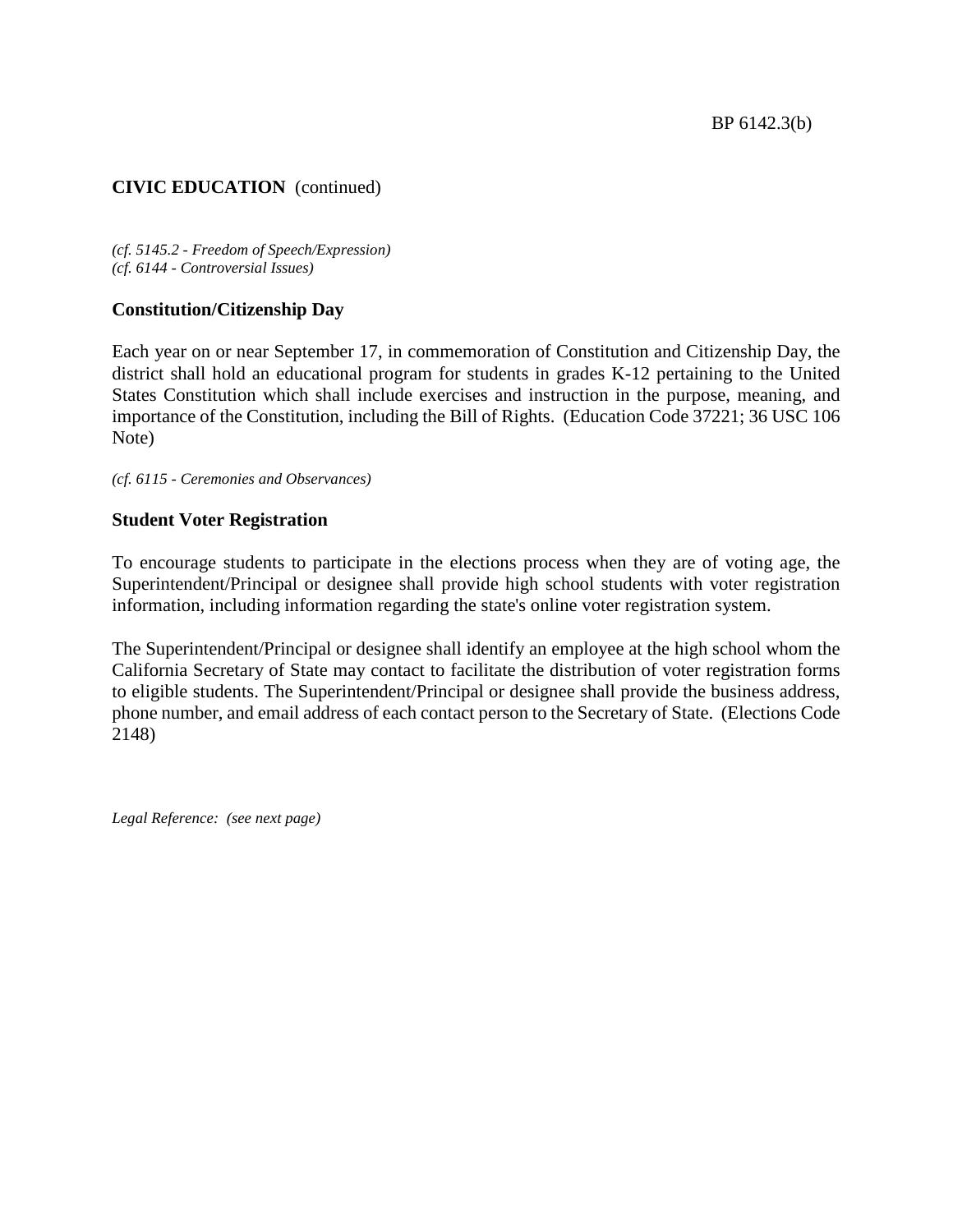BP 6142.3(b)

# **CIVIC EDUCATION** (continued)

*(cf. 5145.2 - Freedom of Speech/Expression) (cf. 6144 - Controversial Issues)*

#### **Constitution/Citizenship Day**

Each year on or near September 17, in commemoration of Constitution and Citizenship Day, the district shall hold an educational program for students in grades K-12 pertaining to the United States Constitution which shall include exercises and instruction in the purpose, meaning, and importance of the Constitution, including the Bill of Rights. (Education Code 37221; 36 USC 106 Note)

*(cf. 6115 - Ceremonies and Observances)*

#### **Student Voter Registration**

To encourage students to participate in the elections process when they are of voting age, the Superintendent/Principal or designee shall provide high school students with voter registration information, including information regarding the state's online voter registration system.

The Superintendent/Principal or designee shall identify an employee at the high school whom the California Secretary of State may contact to facilitate the distribution of voter registration forms to eligible students. The Superintendent/Principal or designee shall provide the business address, phone number, and email address of each contact person to the Secretary of State. (Elections Code 2148)

*Legal Reference: (see next page)*